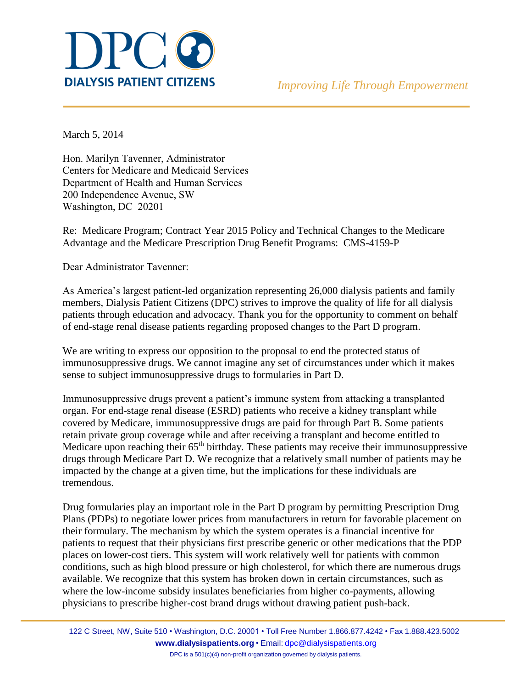

March 5, 2014

Hon. Marilyn Tavenner, Administrator Centers for Medicare and Medicaid Services Department of Health and Human Services 200 Independence Avenue, SW Washington, DC 20201

Re: Medicare Program; Contract Year 2015 Policy and Technical Changes to the Medicare Advantage and the Medicare Prescription Drug Benefit Programs: CMS-4159-P

Dear Administrator Tavenner:

As America's largest patient-led organization representing 26,000 dialysis patients and family members, Dialysis Patient Citizens (DPC) strives to improve the quality of life for all dialysis patients through education and advocacy. Thank you for the opportunity to comment on behalf of end-stage renal disease patients regarding proposed changes to the Part D program.

We are writing to express our opposition to the proposal to end the protected status of immunosuppressive drugs. We cannot imagine any set of circumstances under which it makes sense to subject immunosuppressive drugs to formularies in Part D.

Immunosuppressive drugs prevent a patient's immune system from attacking a transplanted organ. For end-stage renal disease (ESRD) patients who receive a kidney transplant while covered by Medicare, immunosuppressive drugs are paid for through Part B. Some patients retain private group coverage while and after receiving a transplant and become entitled to Medicare upon reaching their 65<sup>th</sup> birthday. These patients may receive their immunosuppressive drugs through Medicare Part D. We recognize that a relatively small number of patients may be impacted by the change at a given time, but the implications for these individuals are tremendous.

Drug formularies play an important role in the Part D program by permitting Prescription Drug Plans (PDPs) to negotiate lower prices from manufacturers in return for favorable placement on their formulary. The mechanism by which the system operates is a financial incentive for patients to request that their physicians first prescribe generic or other medications that the PDP places on lower-cost tiers. This system will work relatively well for patients with common conditions, such as high blood pressure or high cholesterol, for which there are numerous drugs available. We recognize that this system has broken down in certain circumstances, such as where the low-income subsidy insulates beneficiaries from higher co-payments, allowing physicians to prescribe higher-cost brand drugs without drawing patient push-back.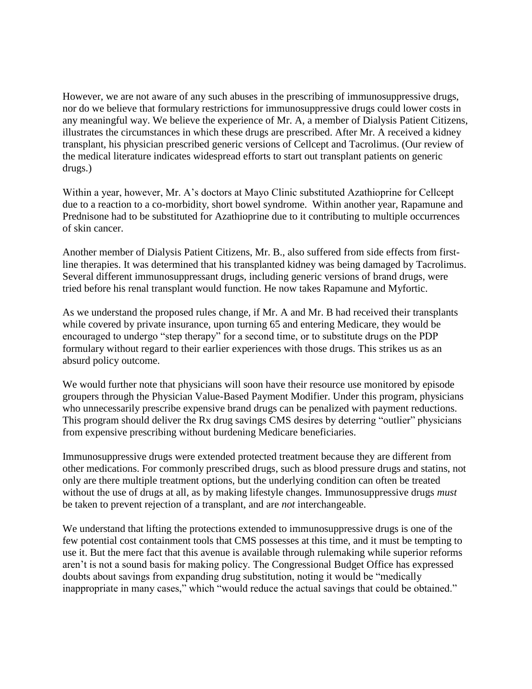However, we are not aware of any such abuses in the prescribing of immunosuppressive drugs, nor do we believe that formulary restrictions for immunosuppressive drugs could lower costs in any meaningful way. We believe the experience of Mr. A, a member of Dialysis Patient Citizens, illustrates the circumstances in which these drugs are prescribed. After Mr. A received a kidney transplant, his physician prescribed generic versions of Cellcept and Tacrolimus. (Our review of the medical literature indicates widespread efforts to start out transplant patients on generic drugs.)

Within a year, however, Mr. A's doctors at Mayo Clinic substituted Azathioprine for Cellcept due to a reaction to a co-morbidity, short bowel syndrome. Within another year, Rapamune and Prednisone had to be substituted for Azathioprine due to it contributing to multiple occurrences of skin cancer.

Another member of Dialysis Patient Citizens, Mr. B., also suffered from side effects from firstline therapies. It was determined that his transplanted kidney was being damaged by Tacrolimus. Several different immunosuppressant drugs, including generic versions of brand drugs, were tried before his renal transplant would function. He now takes Rapamune and Myfortic.

As we understand the proposed rules change, if Mr. A and Mr. B had received their transplants while covered by private insurance, upon turning 65 and entering Medicare, they would be encouraged to undergo "step therapy" for a second time, or to substitute drugs on the PDP formulary without regard to their earlier experiences with those drugs. This strikes us as an absurd policy outcome.

We would further note that physicians will soon have their resource use monitored by episode groupers through the Physician Value-Based Payment Modifier. Under this program, physicians who unnecessarily prescribe expensive brand drugs can be penalized with payment reductions. This program should deliver the Rx drug savings CMS desires by deterring "outlier" physicians from expensive prescribing without burdening Medicare beneficiaries.

Immunosuppressive drugs were extended protected treatment because they are different from other medications. For commonly prescribed drugs, such as blood pressure drugs and statins, not only are there multiple treatment options, but the underlying condition can often be treated without the use of drugs at all, as by making lifestyle changes. Immunosuppressive drugs *must* be taken to prevent rejection of a transplant, and are *not* interchangeable.

We understand that lifting the protections extended to immunosuppressive drugs is one of the few potential cost containment tools that CMS possesses at this time, and it must be tempting to use it. But the mere fact that this avenue is available through rulemaking while superior reforms aren't is not a sound basis for making policy. The Congressional Budget Office has expressed doubts about savings from expanding drug substitution, noting it would be "medically inappropriate in many cases," which "would reduce the actual savings that could be obtained."